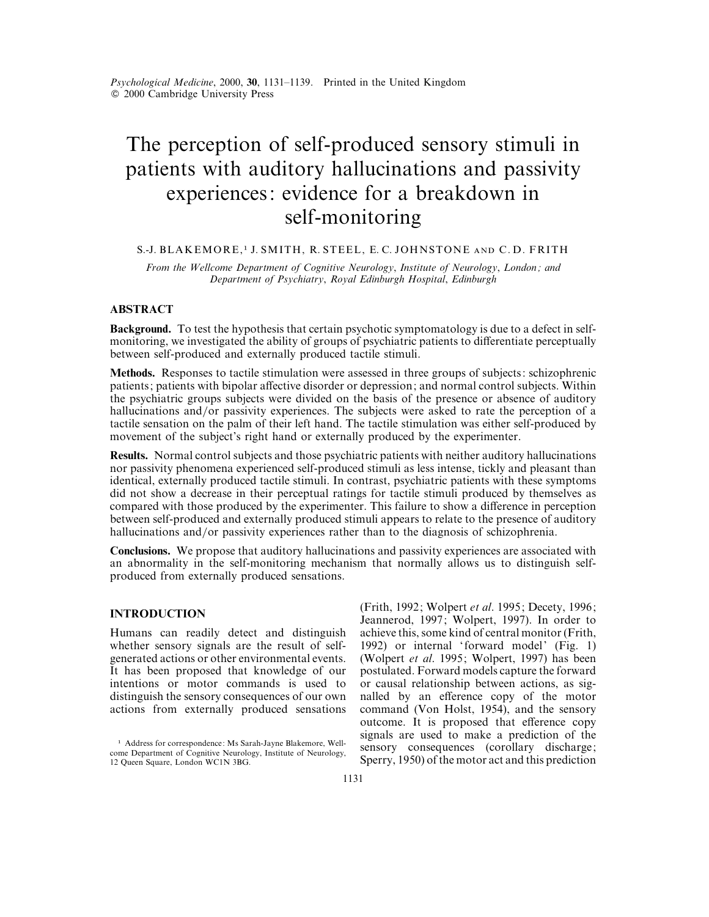# The perception of self-produced sensory stimuli in patients with auditory hallucinations and passivity experiences: evidence for a breakdown in self-monitoring

# S.-J. BLAKEMORE,<sup>1</sup> J. SMITH, R. STEEL, E. C. JOHNSTONE AND C.D. FRITH

*From the Wellcome Department of Cognitive Neurology*, *Institute of Neurology*, *London ; and Department of Psychiatry*, *Royal Edinburgh Hospital*, *Edinburgh*

# **ABSTRACT**

**Background.** To test the hypothesis that certain psychotic symptomatology is due to a defect in selfmonitoring, we investigated the ability of groups of psychiatric patients to differentiate perceptually between self-produced and externally produced tactile stimuli.

**Methods.** Responses to tactile stimulation were assessed in three groups of subjects: schizophrenic patients; patients with bipolar affective disorder or depression; and normal control subjects. Within the psychiatric groups subjects were divided on the basis of the presence or absence of auditory hallucinations and/or passivity experiences. The subjects were asked to rate the perception of a tactile sensation on the palm of their left hand. The tactile stimulation was either self-produced by movement of the subject's right hand or externally produced by the experimenter.

**Results.** Normal control subjects and those psychiatric patients with neither auditory hallucinations nor passivity phenomena experienced self-produced stimuli as less intense, tickly and pleasant than identical, externally produced tactile stimuli. In contrast, psychiatric patients with these symptoms did not show a decrease in their perceptual ratings for tactile stimuli produced by themselves as compared with those produced by the experimenter. This failure to show a difference in perception between self-produced and externally produced stimuli appears to relate to the presence of auditory hallucinations and/or passivity experiences rather than to the diagnosis of schizophrenia.

**Conclusions.** We propose that auditory hallucinations and passivity experiences are associated with an abnormality in the self-monitoring mechanism that normally allows us to distinguish selfproduced from externally produced sensations.

# **INTRODUCTION**

Humans can readily detect and distinguish whether sensory signals are the result of selfgenerated actions or other environmental events. It has been proposed that knowledge of our intentions or motor commands is used to distinguish the sensory consequences of our own actions from externally produced sensations

(Frith, 1992; Wolpert *et al*. 1995; Decety, 1996; Jeannerod, 1997; Wolpert, 1997). In order to achieve this, some kind of central monitor (Frith, 1992) or internal 'forward model' (Fig. 1) (Wolpert *et al*. 1995; Wolpert, 1997) has been postulated. Forward models capture the forward or causal relationship between actions, as signalled by an efference copy of the motor command (Von Holst, 1954), and the sensory outcome. It is proposed that efference copy signals are used to make a prediction of the sensory consequences (corollary discharge; Sperry, 1950) of the motor act and this prediction

<sup>&</sup>lt;sup>1</sup> Address for correspondence: Ms Sarah-Jayne Blakemore, Wellcome Department of Cognitive Neurology, Institute of Neurology, 12 Queen Square, London WC1N 3BG.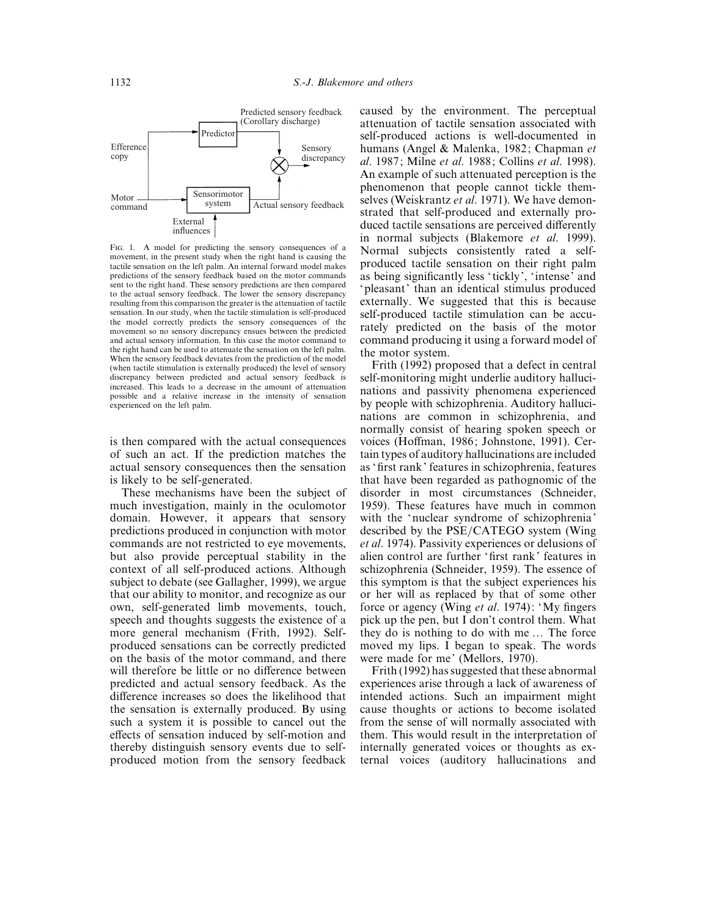

FIG. 1. A model for predicting the sensory consequences of a movement, in the present study when the right hand is causing the tactile sensation on the left palm. An internal forward model makes predictions of the sensory feedback based on the motor commands sent to the right hand. These sensory predictions are then compared to the actual sensory feedback. The lower the sensory discrepancy resulting from this comparison the greater is the attenuation of tactile sensation. In our study, when the tactile stimulation is self-produced the model correctly predicts the sensory consequences of the movement so no sensory discrepancy ensues between the predicted and actual sensory information. In this case the motor command to the right hand can be used to attenuate the sensation on the left palm. When the sensory feedback deviates from the prediction of the model (when tactile stimulation is externally produced) the level of sensory discrepancy between predicted and actual sensory feedback is increased. This leads to a decrease in the amount of attenuation possible and a relative increase in the intensity of sensation experienced on the left palm.

is then compared with the actual consequences of such an act. If the prediction matches the actual sensory consequences then the sensation is likely to be self-generated.

These mechanisms have been the subject of much investigation, mainly in the oculomotor domain. However, it appears that sensory predictions produced in conjunction with motor commands are not restricted to eye movements, but also provide perceptual stability in the context of all self-produced actions. Although subject to debate (see Gallagher, 1999), we argue that our ability to monitor, and recognize as our own, self-generated limb movements, touch, speech and thoughts suggests the existence of a more general mechanism (Frith, 1992). Selfproduced sensations can be correctly predicted on the basis of the motor command, and there will therefore be little or no difference between predicted and actual sensory feedback. As the difference increases so does the likelihood that the sensation is externally produced. By using such a system it is possible to cancel out the effects of sensation induced by self-motion and thereby distinguish sensory events due to selfproduced motion from the sensory feedback

caused by the environment. The perceptual attenuation of tactile sensation associated with self-produced actions is well-documented in humans (Angel & Malenka, 1982; Chapman *et al*. 1987; Milne *et al*. 1988; Collins *et al*. 1998). An example of such attenuated perception is the phenomenon that people cannot tickle themselves (Weiskrantz *et al*. 1971). We have demonstrated that self-produced and externally produced tactile sensations are perceived differently in normal subjects (Blakemore *et al*. 1999). Normal subjects consistently rated a selfproduced tactile sensation on their right palm as being significantly less ' tickly', 'intense' and 'pleasant' than an identical stimulus produced externally. We suggested that this is because self-produced tactile stimulation can be accurately predicted on the basis of the motor command producing it using a forward model of the motor system.

Frith (1992) proposed that a defect in central self-monitoring might underlie auditory hallucinations and passivity phenomena experienced by people with schizophrenia. Auditory hallucinations are common in schizophrenia, and normally consist of hearing spoken speech or voices (Hoffman, 1986; Johnstone, 1991). Certain types of auditory hallucinations are included as 'first rank' features in schizophrenia, features that have been regarded as pathognomic of the disorder in most circumstances (Schneider, 1959). These features have much in common with the 'nuclear syndrome of schizophrenia' described by the PSE/CATEGO system (Wing *et al*. 1974). Passivity experiences or delusions of alien control are further 'first rank' features in schizophrenia (Schneider, 1959). The essence of this symptom is that the subject experiences his or her will as replaced by that of some other force or agency (Wing *et al*. 1974): 'My fingers pick up the pen, but I don't control them. What they do is nothing to do with me … The force moved my lips. I began to speak. The words were made for me' (Mellors, 1970).

Frith (1992) has suggested that these abnormal experiences arise through a lack of awareness of intended actions. Such an impairment might cause thoughts or actions to become isolated from the sense of will normally associated with them. This would result in the interpretation of internally generated voices or thoughts as external voices (auditory hallucinations and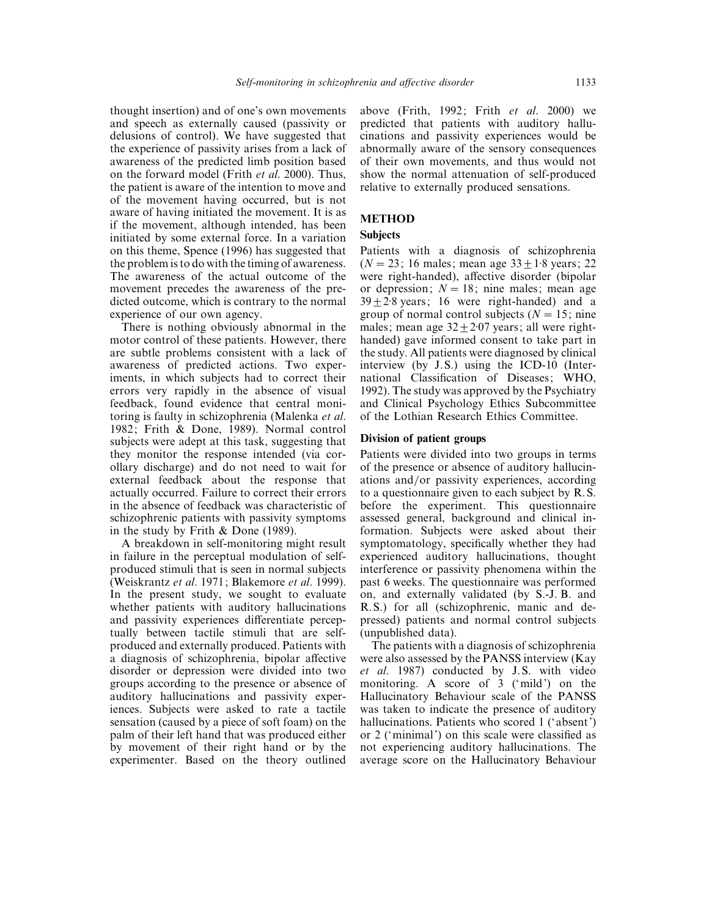thought insertion) and of one's own movements and speech as externally caused (passivity or delusions of control). We have suggested that the experience of passivity arises from a lack of awareness of the predicted limb position based on the forward model (Frith *et al*. 2000). Thus, the patient is aware of the intention to move and of the movement having occurred, but is not aware of having initiated the movement. It is as if the movement, although intended, has been initiated by some external force. In a variation on this theme, Spence (1996) has suggested that the problem is to do with the timing of awareness. The awareness of the actual outcome of the movement precedes the awareness of the predicted outcome, which is contrary to the normal experience of our own agency.

There is nothing obviously abnormal in the motor control of these patients. However, there are subtle problems consistent with a lack of awareness of predicted actions. Two experiments, in which subjects had to correct their errors very rapidly in the absence of visual feedback, found evidence that central monitoring is faulty in schizophrenia (Malenka *et al*. 1982; Frith & Done, 1989). Normal control subjects were adept at this task, suggesting that they monitor the response intended (via corollary discharge) and do not need to wait for external feedback about the response that actually occurred. Failure to correct their errors in the absence of feedback was characteristic of schizophrenic patients with passivity symptoms in the study by Frith & Done (1989).

A breakdown in self-monitoring might result in failure in the perceptual modulation of selfproduced stimuli that is seen in normal subjects (Weiskrantz *et al*. 1971; Blakemore *et al*. 1999). In the present study, we sought to evaluate whether patients with auditory hallucinations and passivity experiences differentiate perceptually between tactile stimuli that are selfproduced and externally produced. Patients with a diagnosis of schizophrenia, bipolar affective disorder or depression were divided into two groups according to the presence or absence of auditory hallucinations and passivity experiences. Subjects were asked to rate a tactile sensation (caused by a piece of soft foam) on the palm of their left hand that was produced either by movement of their right hand or by the experimenter. Based on the theory outlined above (Frith, 1992; Frith *et al*. 2000) we predicted that patients with auditory hallucinations and passivity experiences would be abnormally aware of the sensory consequences of their own movements, and thus would not show the normal attenuation of self-produced relative to externally produced sensations.

# **METHOD**

## **Subjects**

Patients with a diagnosis of schizophrenia  $(N = 23; 16 \text{ males}; \text{mean age } 33 + 1.8 \text{ years}; 22)$ were right-handed), affective disorder (bipolar or depression;  $N = 18$ ; nine males; mean age  $39 + 2.8$  years; 16 were right-handed) and a group of normal control subjects ( $N = 15$ ; nine males; mean age  $32+2.07$  years; all were righthanded) gave informed consent to take part in the study. All patients were diagnosed by clinical interview (by J.S.) using the ICD-10 (International Classification of Diseases; WHO, 1992). The study was approved by the Psychiatry and Clinical Psychology Ethics Subcommittee of the Lothian Research Ethics Committee.

# **Division of patient groups**

Patients were divided into two groups in terms of the presence or absence of auditory hallucinations and/or passivity experiences, according to a questionnaire given to each subject by R.S. before the experiment. This questionnaire assessed general, background and clinical information. Subjects were asked about their symptomatology, specifically whether they had experienced auditory hallucinations, thought interference or passivity phenomena within the past 6 weeks. The questionnaire was performed on, and externally validated (by S.-J. B. and R.S.) for all (schizophrenic, manic and depressed) patients and normal control subjects (unpublished data).

The patients with a diagnosis of schizophrenia were also assessed by the PANSS interview (Kay *et al*. 1987) conducted by J.S. with video monitoring. A score of 3 ('mild') on the Hallucinatory Behaviour scale of the PANSS was taken to indicate the presence of auditory hallucinations. Patients who scored 1 (' absent') or 2 ('minimal') on this scale were classified as not experiencing auditory hallucinations. The average score on the Hallucinatory Behaviour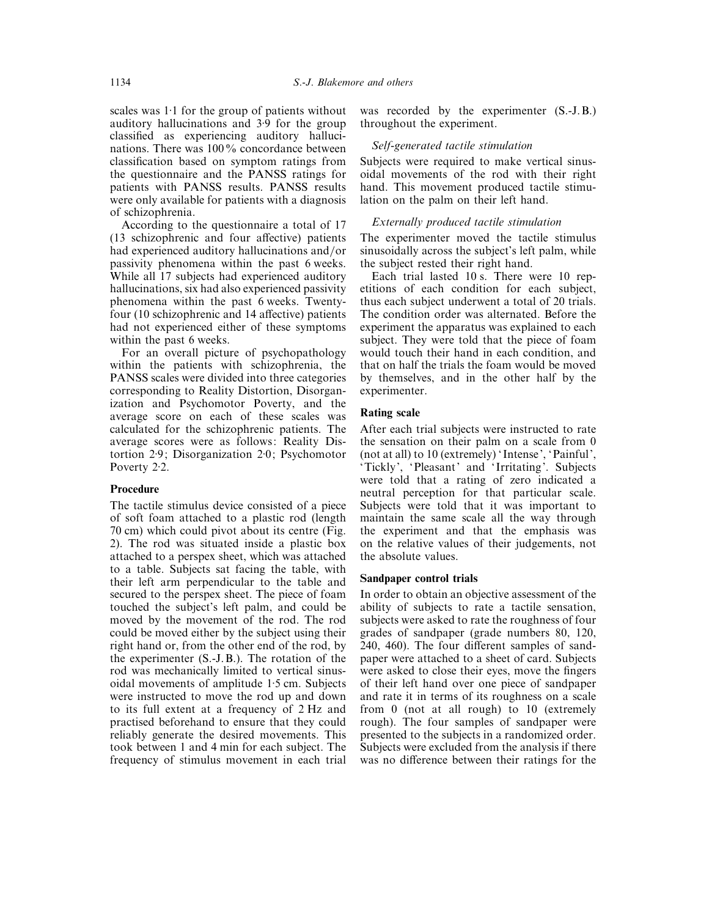scales was  $1:1$  for the group of patients without auditory hallucinations and 3±9 for the group classified as experiencing auditory hallucinations. There was 100% concordance between classification based on symptom ratings from the questionnaire and the PANSS ratings for patients with PANSS results. PANSS results were only available for patients with a diagnosis of schizophrenia.

According to the questionnaire a total of 17 (13 schizophrenic and four affective) patients had experienced auditory hallucinations and/or passivity phenomena within the past 6 weeks. While all 17 subjects had experienced auditory hallucinations, six had also experienced passivity phenomena within the past 6 weeks. Twentyfour (10 schizophrenic and 14 affective) patients had not experienced either of these symptoms within the past 6 weeks.

For an overall picture of psychopathology within the patients with schizophrenia, the PANSS scales were divided into three categories corresponding to Reality Distortion, Disorganization and Psychomotor Poverty, and the average score on each of these scales was calculated for the schizophrenic patients. The average scores were as follows: Reality Distortion 2±9; Disorganization 2±0; Psychomotor Poverty 2.2.

## **Procedure**

The tactile stimulus device consisted of a piece of soft foam attached to a plastic rod (length 70 cm) which could pivot about its centre (Fig. 2). The rod was situated inside a plastic box attached to a perspex sheet, which was attached to a table. Subjects sat facing the table, with their left arm perpendicular to the table and secured to the perspex sheet. The piece of foam touched the subject's left palm, and could be moved by the movement of the rod. The rod could be moved either by the subject using their right hand or, from the other end of the rod, by the experimenter (S.-J.B.). The rotation of the rod was mechanically limited to vertical sinusoidal movements of amplitude 1±5 cm. Subjects were instructed to move the rod up and down to its full extent at a frequency of 2 Hz and practised beforehand to ensure that they could reliably generate the desired movements. This took between 1 and 4 min for each subject. The frequency of stimulus movement in each trial was recorded by the experimenter (S.-J.B.) throughout the experiment.

#### *Self*-*generated tactile stimulation*

Subjects were required to make vertical sinusoidal movements of the rod with their right hand. This movement produced tactile stimulation on the palm on their left hand.

## *Externally produced tactile stimulation*

The experimenter moved the tactile stimulus sinusoidally across the subject's left palm, while the subject rested their right hand.

Each trial lasted 10 s. There were 10 repetitions of each condition for each subject, thus each subject underwent a total of 20 trials. The condition order was alternated. Before the experiment the apparatus was explained to each subject. They were told that the piece of foam would touch their hand in each condition, and that on half the trials the foam would be moved by themselves, and in the other half by the experimenter.

## **Rating scale**

After each trial subjects were instructed to rate the sensation on their palm on a scale from 0 (not at all) to 10 (extremely) ' Intense', 'Painful', 'Tickly', 'Pleasant' and ' Irritating'. Subjects were told that a rating of zero indicated a neutral perception for that particular scale. Subjects were told that it was important to maintain the same scale all the way through the experiment and that the emphasis was on the relative values of their judgements, not the absolute values.

#### **Sandpaper control trials**

In order to obtain an objective assessment of the ability of subjects to rate a tactile sensation, subjects were asked to rate the roughness of four grades of sandpaper (grade numbers 80, 120, 240, 460). The four different samples of sandpaper were attached to a sheet of card. Subjects were asked to close their eyes, move the fingers of their left hand over one piece of sandpaper and rate it in terms of its roughness on a scale from 0 (not at all rough) to 10 (extremely rough). The four samples of sandpaper were presented to the subjects in a randomized order. Subjects were excluded from the analysis if there was no difference between their ratings for the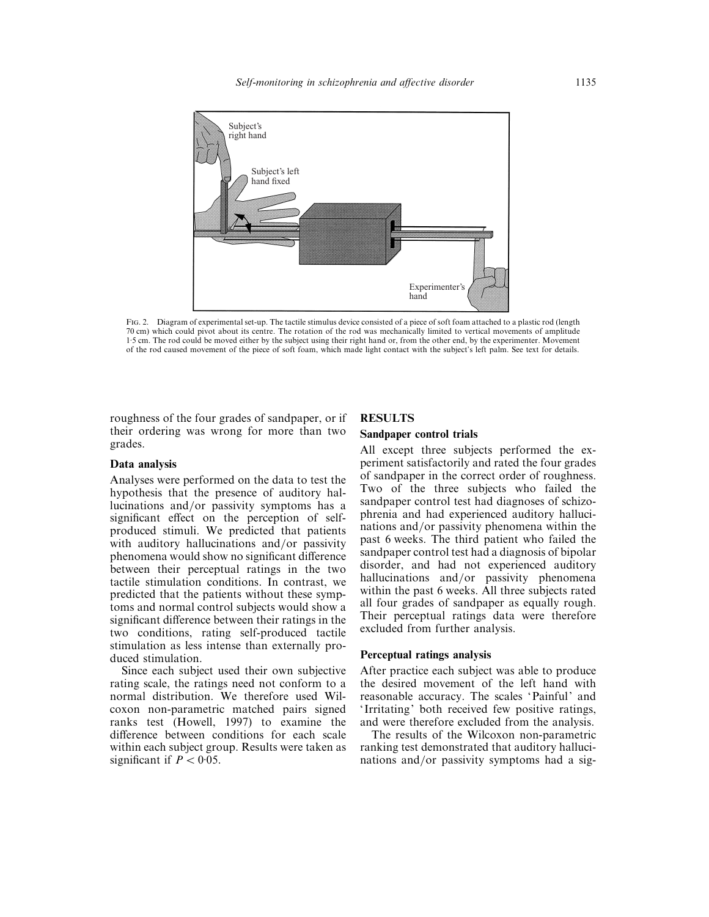

FIG. 2. Diagram of experimental set-up. The tactile stimulus device consisted of a piece of soft foam attached to a plastic rod (length 70 cm) which could pivot about its centre. The rotation of the rod was mechanically limited to vertical movements of amplitude 1±5 cm. The rod could be moved either by the subject using their right hand or, from the other end, by the experimenter. Movement of the rod caused movement of the piece of soft foam, which made light contact with the subject's left palm. See text for details.

roughness of the four grades of sandpaper, or if their ordering was wrong for more than two grades.

#### **Data analysis**

Analyses were performed on the data to test the hypothesis that the presence of auditory hallucinations and/or passivity symptoms has a significant effect on the perception of selfproduced stimuli. We predicted that patients with auditory hallucinations and/or passivity phenomena would show no significant difference between their perceptual ratings in the two tactile stimulation conditions. In contrast, we predicted that the patients without these symptoms and normal control subjects would show a significant difference between their ratings in the two conditions, rating self-produced tactile stimulation as less intense than externally produced stimulation.

Since each subject used their own subjective rating scale, the ratings need not conform to a normal distribution. We therefore used Wilcoxon non-parametric matched pairs signed ranks test (Howell, 1997) to examine the difference between conditions for each scale within each subject group. Results were taken as significant if  $P < 0.05$ .

## **RESULTS**

# **Sandpaper control trials**

All except three subjects performed the experiment satisfactorily and rated the four grades of sandpaper in the correct order of roughness. Two of the three subjects who failed the sandpaper control test had diagnoses of schizophrenia and had experienced auditory hallucinations and/or passivity phenomena within the past 6 weeks. The third patient who failed the sandpaper control test had a diagnosis of bipolar disorder, and had not experienced auditory hallucinations and/or passivity phenomena within the past 6 weeks. All three subjects rated all four grades of sandpaper as equally rough. Their perceptual ratings data were therefore excluded from further analysis.

## **Perceptual ratings analysis**

After practice each subject was able to produce the desired movement of the left hand with reasonable accuracy. The scales 'Painful' and ' Irritating' both received few positive ratings, and were therefore excluded from the analysis.

The results of the Wilcoxon non-parametric ranking test demonstrated that auditory hallucinations and/or passivity symptoms had a sig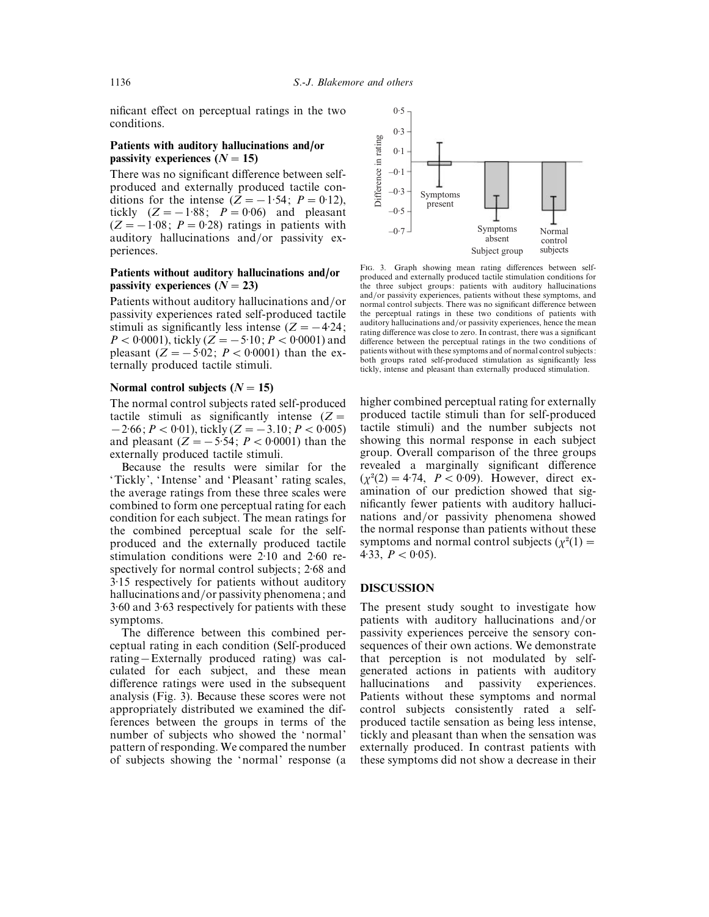nificant effect on perceptual ratings in the two conditions.

# **Patients with auditory hallucinations and/or passivity experiences**  $(N = 15)$

There was no significant difference between selfproduced and externally produced tactile conditions for the intense  $(Z=-1.54; P=0.12)$ , tickly  $(Z=-1.88; P=0.06)$  and pleasant  $(Z=-1.08; P=0.28)$  ratings in patients with auditory hallucinations and/or passivity experiences.

# **Patients without auditory hallucinations and/or passivity experiences**  $(N = 23)$

Patients without auditory hallucinations and/or passivity experiences rated self-produced tactile stimuli as significantly less intense  $(Z = -4.24;$  $P < 0.0001$ , tickly ( $Z = -5.10$ ;  $P < 0.0001$ ) and pleasant  $(Z = -5.02; P < 0.0001)$  than the externally produced tactile stimuli.

## Normal control subjects  $(N = 15)$

The normal control subjects rated self-produced tactile stimuli as significantly intense  $(Z =$  $-2.66$ ;  $P < 0.01$ ), tickly ( $Z = -3.10$ ;  $P < 0.005$ ) and pleasant  $(Z = -5.54; P < 0.0001)$  than the externally produced tactile stimuli.

Because the results were similar for the 'Tickly', ' Intense' and 'Pleasant' rating scales, the average ratings from these three scales were combined to form one perceptual rating for each condition for each subject. The mean ratings for the combined perceptual scale for the selfproduced and the externally produced tactile stimulation conditions were  $2.10$  and  $2.60$  respectively for normal control subjects; 2:68 and 3±15 respectively for patients without auditory hallucinations and/or passivity phenomena; and 3±60 and 3±63 respectively for patients with these symptoms.

The difference between this combined perceptual rating in each condition (Self-produced rating—Externally produced rating) was calculated for each subject, and these mean difference ratings were used in the subsequent analysis (Fig. 3). Because these scores were not appropriately distributed we examined the differences between the groups in terms of the number of subjects who showed the 'normal' pattern of responding. We compared the number of subjects showing the 'normal' response (a



FIG. 3. Graph showing mean rating differences between selfproduced and externally produced tactile stimulation conditions for the three subject groups: patients with auditory hallucinations and/or passivity experiences, patients without these symptoms, and normal control subjects. There was no significant difference between the perceptual ratings in these two conditions of patients with auditory hallucinations and/or passivity experiences, hence the mean rating difference was close to zero. In contrast, there was a significant difference between the perceptual ratings in the two conditions of patients without with these symptoms and of normal control subjects: both groups rated self-produced stimulation as significantly less tickly, intense and pleasant than externally produced stimulation.

higher combined perceptual rating for externally produced tactile stimuli than for self-produced tactile stimuli) and the number subjects not showing this normal response in each subject group. Overall comparison of the three groups revealed a marginally significant difference  $(\chi^2(2) = 4.74, P < 0.09)$ . However, direct examination of our prediction showed that significantly fewer patients with auditory hallucinations and/or passivity phenomena showed the normal response than patients without these symptoms and normal control subjects ( $\chi^2(1)$  =  $\vec{4}\cdot 33$ ,  $\vec{P}$  < 0.05).

#### **DISCUSSION**

The present study sought to investigate how patients with auditory hallucinations and/or passivity experiences perceive the sensory consequences of their own actions. We demonstrate that perception is not modulated by selfgenerated actions in patients with auditory hallucinations and passivity experiences. Patients without these symptoms and normal control subjects consistently rated a selfproduced tactile sensation as being less intense, tickly and pleasant than when the sensation was externally produced. In contrast patients with these symptoms did not show a decrease in their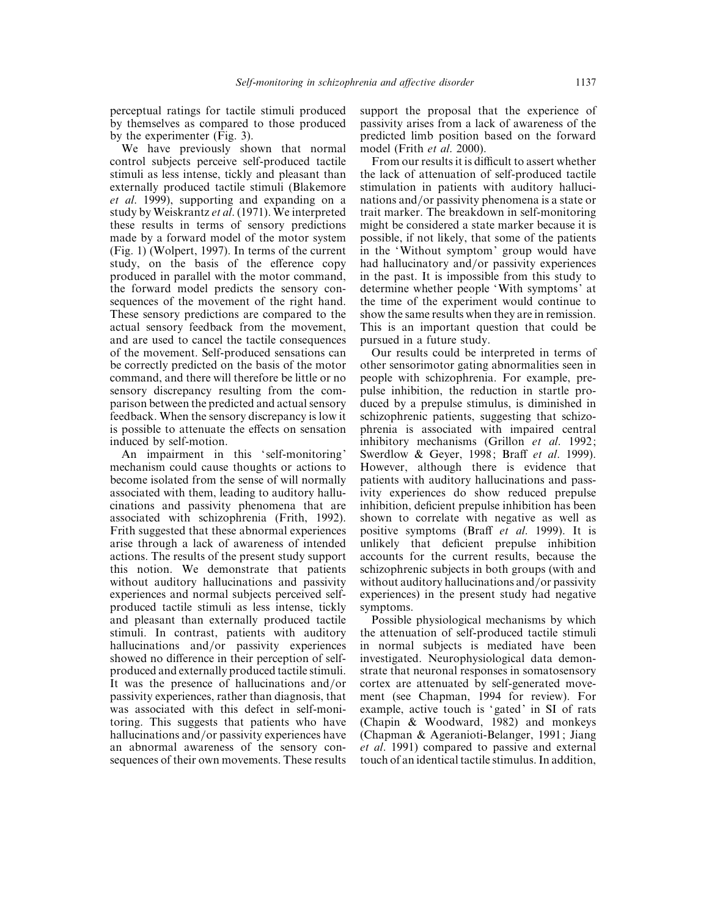perceptual ratings for tactile stimuli produced by themselves as compared to those produced by the experimenter (Fig. 3).

We have previously shown that normal control subjects perceive self-produced tactile stimuli as less intense, tickly and pleasant than externally produced tactile stimuli (Blakemore *et al*. 1999), supporting and expanding on a study by Weiskrantz *et al*. (1971). We interpreted these results in terms of sensory predictions made by a forward model of the motor system (Fig. 1) (Wolpert, 1997). In terms of the current study, on the basis of the efference copy produced in parallel with the motor command, the forward model predicts the sensory consequences of the movement of the right hand. These sensory predictions are compared to the actual sensory feedback from the movement, and are used to cancel the tactile consequences of the movement. Self-produced sensations can be correctly predicted on the basis of the motor command, and there will therefore be little or no sensory discrepancy resulting from the comparison between the predicted and actual sensory feedback. When the sensory discrepancy is low it is possible to attenuate the effects on sensation induced by self-motion.

An impairment in this 'self-monitoring' mechanism could cause thoughts or actions to become isolated from the sense of will normally associated with them, leading to auditory hallucinations and passivity phenomena that are associated with schizophrenia (Frith, 1992). Frith suggested that these abnormal experiences arise through a lack of awareness of intended actions. The results of the present study support this notion. We demonstrate that patients without auditory hallucinations and passivity experiences and normal subjects perceived selfproduced tactile stimuli as less intense, tickly and pleasant than externally produced tactile stimuli. In contrast, patients with auditory hallucinations and/or passivity experiences showed no difference in their perception of selfproduced and externally produced tactile stimuli. It was the presence of hallucinations and/or passivity experiences, rather than diagnosis, that was associated with this defect in self-monitoring. This suggests that patients who have hallucinations and/or passivity experiences have an abnormal awareness of the sensory consequences of their own movements. These results support the proposal that the experience of passivity arises from a lack of awareness of the predicted limb position based on the forward model (Frith *et al*. 2000).

From our results it is difficult to assert whether the lack of attenuation of self-produced tactile stimulation in patients with auditory hallucinations and/or passivity phenomena is a state or trait marker. The breakdown in self-monitoring might be considered a state marker because it is possible, if not likely, that some of the patients in the 'Without symptom' group would have had hallucinatory and/or passivity experiences in the past. It is impossible from this study to determine whether people 'With symptoms' at the time of the experiment would continue to show the same results when they are in remission. This is an important question that could be pursued in a future study.

Our results could be interpreted in terms of other sensorimotor gating abnormalities seen in people with schizophrenia. For example, prepulse inhibition, the reduction in startle produced by a prepulse stimulus, is diminished in schizophrenic patients, suggesting that schizophrenia is associated with impaired central inhibitory mechanisms (Grillon *et al*. 1992; Swerdlow & Geyer, 1998; Braff *et al*. 1999). However, although there is evidence that patients with auditory hallucinations and passivity experiences do show reduced prepulse inhibition, deficient prepulse inhibition has been shown to correlate with negative as well as positive symptoms (Braff *et al*. 1999). It is unlikely that deficient prepulse inhibition accounts for the current results, because the schizophrenic subjects in both groups (with and without auditory hallucinations and/or passivity experiences) in the present study had negative symptoms.

Possible physiological mechanisms by which the attenuation of self-produced tactile stimuli in normal subjects is mediated have been investigated. Neurophysiological data demonstrate that neuronal responses in somatosensory cortex are attenuated by self-generated movement (see Chapman, 1994 for review). For example, active touch is 'gated' in SI of rats (Chapin & Woodward, 1982) and monkeys (Chapman & Ageranioti-Belanger, 1991; Jiang *et al*. 1991) compared to passive and external touch of an identical tactile stimulus. In addition,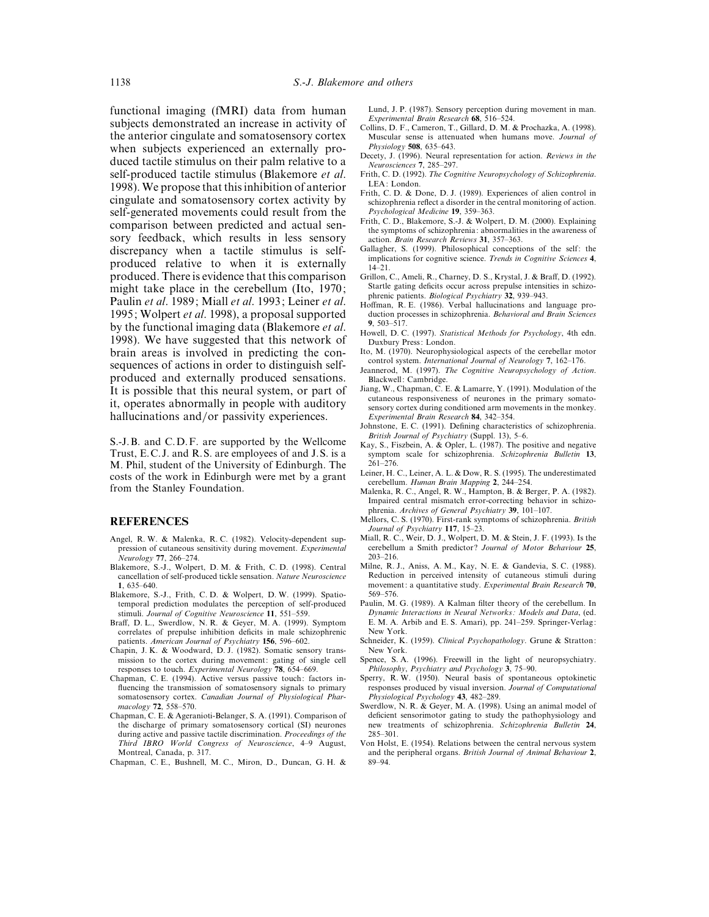functional imaging (fMRI) data from human subjects demonstrated an increase in activity of the anterior cingulate and somatosensory cortex when subjects experienced an externally produced tactile stimulus on their palm relative to a self-produced tactile stimulus (Blakemore *et al*. 1998). We propose that this inhibition of anterior cingulate and somatosensory cortex activity by self-generated movements could result from the comparison between predicted and actual sensory feedback, which results in less sensory discrepancy when a tactile stimulus is selfproduced relative to when it is externally produced. There is evidence that this comparison might take place in the cerebellum (Ito, 1970; Paulin *et al*. 1989; Miall *et al*. 1993; Leiner *et al*. 1995; Wolpert *et al*. 1998), a proposal supported by the functional imaging data (Blakemore *et al*. 1998). We have suggested that this network of brain areas is involved in predicting the consequences of actions in order to distinguish selfproduced and externally produced sensations. It is possible that this neural system, or part of it, operates abnormally in people with auditory hallucinations and/or passivity experiences.

S.-J.B. and C.D.F. are supported by the Wellcome Trust, E.C.J. and R.S. are employees of and J.S. is a M. Phil, student of the University of Edinburgh. The costs of the work in Edinburgh were met by a grant from the Stanley Foundation.

## **REFERENCES**

- Angel, R. W. & Malenka, R. C. (1982). Velocity-dependent suppression of cutaneous sensitivity during movement. *Experimental Neurology* **77**, 266–274.
- Blakemore, S.-J., Wolpert, D. M. & Frith, C. D. (1998). Central cancellation of self-produced tickle sensation. *Nature Neuroscience* **1**, 635–640.
- Blakemore, S.-J., Frith, C. D. & Wolpert, D. W. (1999). Spatiotemporal prediction modulates the perception of self-produced stimuli. *Journal of Cognitive Neuroscience* **11**, 551–559.
- Braff, D. L., Swerdlow, N. R. & Geyer, M. A. (1999). Symptom correlates of prepulse inhibition deficits in male schizophrenic patients. *American Journal of Psychiatry* **156**, 596–602.
- Chapin, J. K. & Woodward, D. J. (1982). Somatic sensory transmission to the cortex during movement: gating of single cell responses to touch. *Experimental Neurology* **78**, 654–669.
- Chapman, C. E. (1994). Active versus passive touch: factors influencing the transmission of somatosensory signals to primary somatosensory cortex. *Canadian Journal of Physiological Pharmacology* **72**, 558–570.
- Chapman, C. E. & Ageranioti-Belanger, S. A. (1991). Comparison of the discharge of primary somatosensory cortical (SI) neurones during active and passive tactile discrimination. *Proceedings of the Third IBRO World Congress of Neuroscience*, 4–9 August, Montreal, Canada, p. 317.

Chapman, C. E., Bushnell, M. C., Miron, D., Duncan, G. H. &

Lund, J. P. (1987). Sensory perception during movement in man. *Experimental Brain Research* **68**, 516–524.

- Collins, D. F., Cameron, T., Gillard, D. M. & Prochazka, A. (1998). Muscular sense is attenuated when humans move. *Journal of Physiology* **508**, 635–643.
- Decety, J. (1996). Neural representation for action. *Reviews in the Neurosciences* **7**, 285–297.
- Frith, C. D. (1992). *The Cognitive Neuropsychology of Schizophrenia*. LEA: London.
- Frith, C. D. & Done, D. J. (1989). Experiences of alien control in schizophrenia reflect a disorder in the central monitoring of action. *Psychological Medicine* **19**, 359–363.
- Frith, C. D., Blakemore, S.-J. & Wolpert, D. M. (2000). Explaining the symptoms of schizophrenia: abnormalities in the awareness of action. *Brain Research Reviews* **31**, 357–363.
- Gallagher, S. (1999). Philosophical conceptions of the self: the implications for cognitive science. *Trends in Cognitive Sciences* **4**, 14–21.
- Grillon, C., Ameli, R., Charney, D. S., Krystal, J. & Braff, D. (1992). Startle gating deficits occur across prepulse intensities in schizophrenic patients. *Biological Psychiatry* **32**, 939–943.
- Hoffman, R. E. (1986). Verbal hallucinations and language production processes in schizophrenia. *Behavioral and Brain Sciences* **9**, 503–517.
- Howell, D. C. (1997). *Statistical Methods for Psychology*, 4th edn. Duxbury Press: London.
- Ito, M. (1970). Neurophysiological aspects of the cerebellar motor control system. *International Journal of Neurology* **7**, 162–176.
- Jeannerod, M. (1997). *The Cognitive Neuropsychology of Action*. Blackwell: Cambridge.
- Jiang, W., Chapman, C. E. & Lamarre, Y. (1991). Modulation of the cutaneous responsiveness of neurones in the primary somatosensory cortex during conditioned arm movements in the monkey. *Experimental Brain Research* **84**, 342–354.
- Johnstone, E. C. (1991). Defining characteristics of schizophrenia. *British Journal of Psychiatry* (Suppl. 13), 5–6.
- Kay, S., Fiszbein, A. & Opler, L. (1987). The positive and negative symptom scale for schizophrenia. *Schizophrenia Bulletin* **13**, 261–276.
- Leiner, H. C., Leiner, A. L. & Dow, R. S. (1995). The underestimated cerebellum. *Human Brain Mapping* **2**, 244–254.
- Malenka, R. C., Angel, R. W., Hampton, B. & Berger, P. A. (1982). Impaired central mismatch error-correcting behavior in schizophrenia. *Archives of General Psychiatry* **39**, 101–107.
- Mellors, C. S. (1970). First-rank symptoms of schizophrenia. *British Journal of Psychiatry* **117**, 15–23.
- Miall, R. C., Weir, D. J., Wolpert, D. M. & Stein, J. F. (1993). Is the cerebellum a Smith predictor ? *Journal of Motor Behaviour* **25**, 203–216.
- Milne, R. J., Aniss, A. M., Kay, N. E. & Gandevia, S. C. (1988). Reduction in perceived intensity of cutaneous stimuli during movement: a quantitative study. *Experimental Brain Research* **70**, 569–576.
- Paulin, M. G. (1989). A Kalman filter theory of the cerebellum. In *Dynamic Interactions in Neural Networks : Models and Data*, (ed. E. M. A. Arbib and E. S. Amari), pp. 241–259. Springer-Verlag: New York.
- Schneider, K. (1959). *Clinical Psychopathology*. Grune & Stratton: New York.
- Spence, S. A. (1996). Freewill in the light of neuropsychiatry. *Philosophy*, *Psychiatry and Psychology* **3**, 75–90.
- Sperry, R. W. (1950). Neural basis of spontaneous optokinetic responses produced by visual inversion. *Journal of Computational Physiological Psychology* **43**, 482–289.
- Swerdlow, N. R. & Geyer, M. A. (1998). Using an animal model of deficient sensorimotor gating to study the pathophysiology and new treatments of schizophrenia. *Schizophrenia Bulletin* **24**, 285–301.
- Von Holst, E. (1954). Relations between the central nervous system and the peripheral organs. *British Journal of Animal Behaviour* **2**, 89–94.